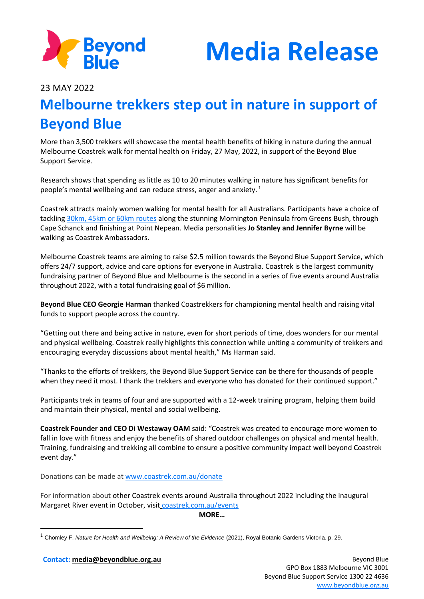

**Media Release**

23 MAY 2022

## **Melbourne trekkers step out in nature in support of Beyond Blue**

More than 3,500 trekkers will showcase the mental health benefits of hiking in nature during the annual Melbourne Coastrek walk for mental health on Friday, 27 May, 2022, in support of the Beyond Blue Support Service.

Research shows that spending as little as 10 to 20 minutes walking in nature has significant benefits for people's mental wellbeing and can reduce stress, anger and anxiety. <sup>1</sup>

Coastrek attracts mainly women walking for mental health for all Australians. Participants have a choice of tackling [30km, 45km or 60km routes](https://www.coastrek.com.au/events/event-map-melbourne) along the stunning Mornington Peninsula from Greens Bush, through Cape Schanck and finishing at Point Nepean. Media personalities **Jo Stanley and Jennifer Byrne** will be walking as Coastrek Ambassadors.

Melbourne Coastrek teams are aiming to raise \$2.5 million towards the Beyond Blue Support Service, which offers 24/7 support, advice and care options for everyone in Australia. Coastrek is the largest community fundraising partner of Beyond Blue and Melbourne is the second in a series of five events around Australia throughout 2022, with a total fundraising goal of \$6 million.

**Beyond Blue CEO Georgie Harman** thanked Coastrekkers for championing mental health and raising vital funds to support people across the country.

"Getting out there and being active in nature, even for short periods of time, does wonders for our mental and physical wellbeing. Coastrek really highlights this connection while uniting a community of trekkers and encouraging everyday discussions about mental health," Ms Harman said.

"Thanks to the efforts of trekkers, the Beyond Blue Support Service can be there for thousands of people when they need it most. I thank the trekkers and everyone who has donated for their continued support."

Participants trek in teams of four and are supported with a 12-week training program, helping them build and maintain their physical, mental and social wellbeing.

**Coastrek Founder and CEO Di Westaway OAM** said: "Coastrek was created to encourage more women to fall in love with fitness and enjoy the benefits of shared outdoor challenges on physical and mental health. Training, fundraising and trekking all combine to ensure a positive community impact well beyond Coastrek event day."

Donations can be made at [www.coastrek.com.au/donate](http://www.coastrek.com.au/donate)

For information about other Coastrek events around Australia throughout 2022 including the inaugural Margaret River event in October, visit [coastrek.com.au/events](https://www.coastrek.com.au/events)

**MORE…**

**Contact: [media@beyondblue.org.au](mailto:media@beyondblue.org.au)** Beyond Blue

<sup>1</sup> Chomley F, *Nature for Health and Wellbeing: A Review of the Evidence* (2021), Royal Botanic Gardens Victoria, p. 29.